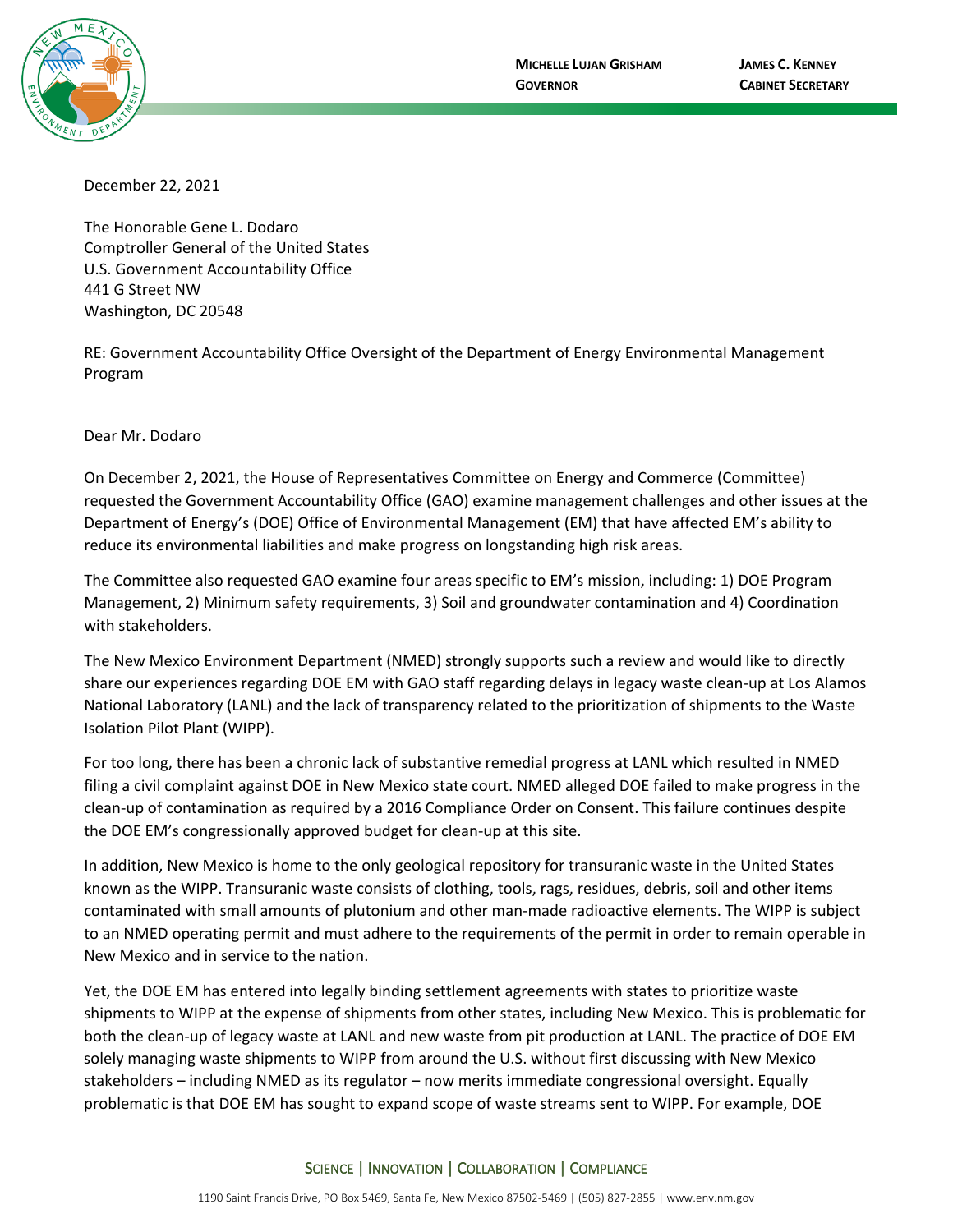

December 22, 2021

The Honorable Gene L. Dodaro Comptroller General of the United States U.S. Government Accountability Office 441 G Street NW Washington, DC 20548

RE: Government Accountability Office Oversight of the Department of Energy Environmental Management Program

Dear Mr. Dodaro

On December 2, 2021, the House of Representatives Committee on Energy and Commerce (Committee) requested the Government Accountability Office (GAO) examine management challenges and other issues at the Department of Energy's (DOE) Office of Environmental Management (EM) that have affected EM's ability to reduce its environmental liabilities and make progress on longstanding high risk areas.

The Committee also requested GAO examine four areas specific to EM's mission, including: 1) DOE Program Management, 2) Minimum safety requirements, 3) Soil and groundwater contamination and 4) Coordination with stakeholders.

The New Mexico Environment Department (NMED) strongly supports such a review and would like to directly share our experiences regarding DOE EM with GAO staff regarding delays in legacy waste clean-up at Los Alamos National Laboratory (LANL) and the lack of transparency related to the prioritization of shipments to the Waste Isolation Pilot Plant (WIPP).

For too long, there has been a chronic lack of substantive remedial progress at LANL which resulted in NMED filing a civil complaint against DOE in New Mexico state court. NMED alleged DOE failed to make progress in the clean-up of contamination as required by a 2016 Compliance Order on Consent. This failure continues despite the DOE EM's congressionally approved budget for clean-up at this site.

In addition, New Mexico is home to the only geological repository for transuranic waste in the United States known as the WIPP. Transuranic waste consists of clothing, tools, rags, residues, debris, soil and other items contaminated with small amounts of plutonium and other man-made radioactive elements. The WIPP is subject to an NMED operating permit and must adhere to the requirements of the permit in order to remain operable in New Mexico and in service to the nation.

Yet, the DOE EM has entered into legally binding settlement agreements with states to prioritize waste shipments to WIPP at the expense of shipments from other states, including New Mexico. This is problematic for both the clean-up of legacy waste at LANL and new waste from pit production at LANL. The practice of DOE EM solely managing waste shipments to WIPP from around the U.S. without first discussing with New Mexico stakeholders – including NMED as its regulator – now merits immediate congressional oversight. Equally problematic is that DOE EM has sought to expand scope of waste streams sent to WIPP. For example, DOE

## SCIENCE | INNOVATION | COLLABORATION | COMPLIANCE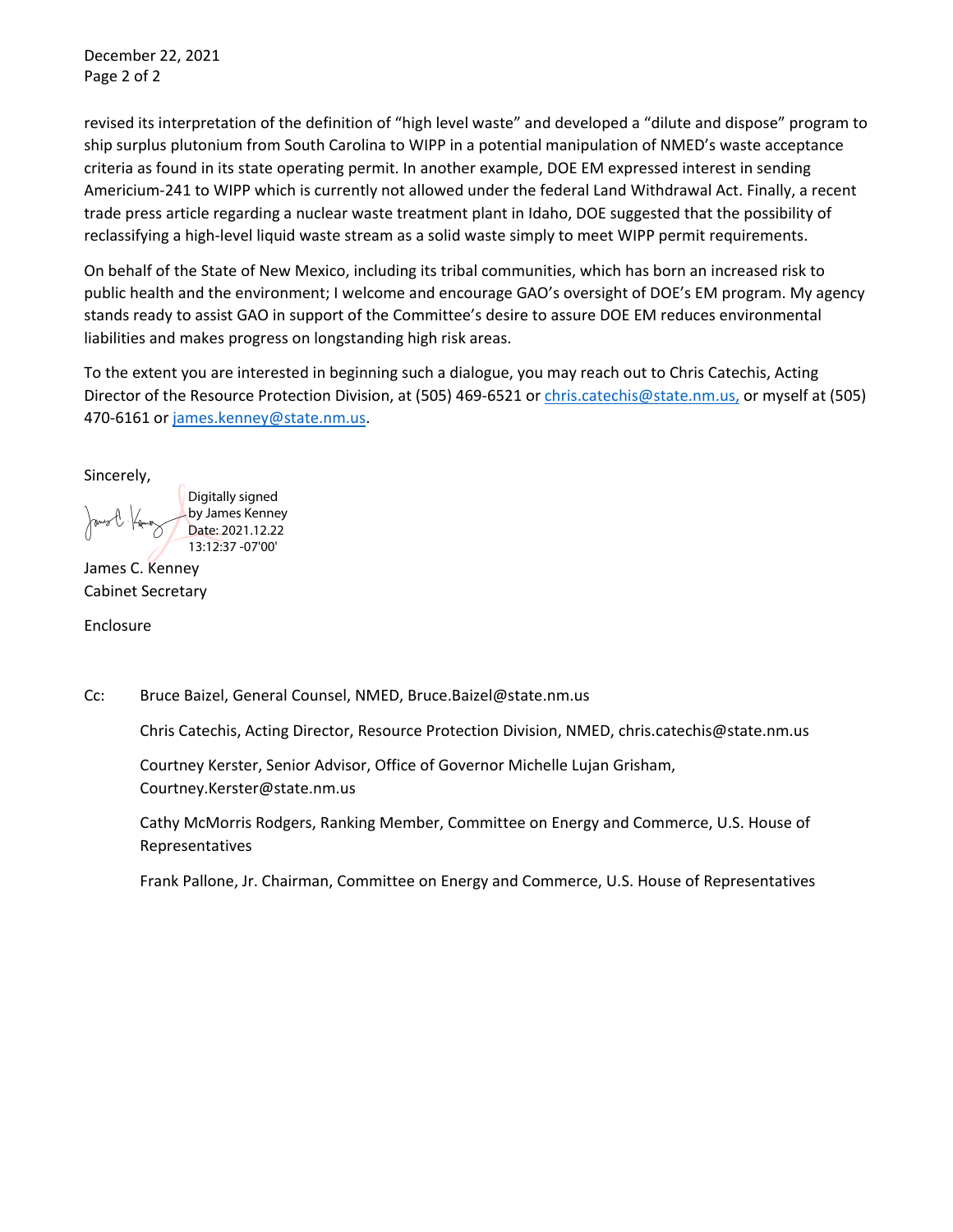December 22, 2021 Page 2 of 2

revised its interpretation of the definition of "high level waste" and developed a "dilute and dispose" program to ship surplus plutonium from South Carolina to WIPP in a potential manipulation of NMED's waste acceptance criteria as found in its state operating permit. In another example, DOE EM expressed interest in sending Americium-241 to WIPP which is currently not allowed under the federal Land Withdrawal Act. Finally, a recent trade press article regarding a nuclear waste treatment plant in Idaho, DOE suggested that the possibility of reclassifying a high-level liquid waste stream as a solid waste simply to meet WIPP permit requirements.

On behalf of the State of New Mexico, including its tribal communities, which has born an increased risk to public health and the environment; I welcome and encourage GAO's oversight of DOE's EM program. My agency stands ready to assist GAO in support of the Committee's desire to assure DOE EM reduces environmental liabilities and makes progress on longstanding high risk areas.

To the extent you are interested in beginning such a dialogue, you may reach out to Chris Catechis, Acting Director of the Resource Protection Division, at (505) 469-6521 or [chris.catechis@state.nm.us,](mailto:chris.catechis@state.nm.us) or myself at (505) 470-6161 or [james.kenney@state.nm.us.](mailto:james.kenney@state.nm.us)

Sincerely,

Digitally signed by James Kenney Date: 2021.12.22 13:12:37 -07'00'

James C. Kenney Cabinet Secretary

Enclosure

Cc: Bruce Baizel, General Counsel, NMED, Bruce.Baizel@state.nm.us

Chris Catechis, Acting Director, Resource Protection Division, NMED, chris.catechis@state.nm.us

Courtney Kerster, Senior Advisor, Office of Governor Michelle Lujan Grisham, Courtney.Kerster@state.nm.us

Cathy McMorris Rodgers, Ranking Member, Committee on Energy and Commerce, U.S. House of Representatives

Frank Pallone, Jr. Chairman, Committee on Energy and Commerce, U.S. House of Representatives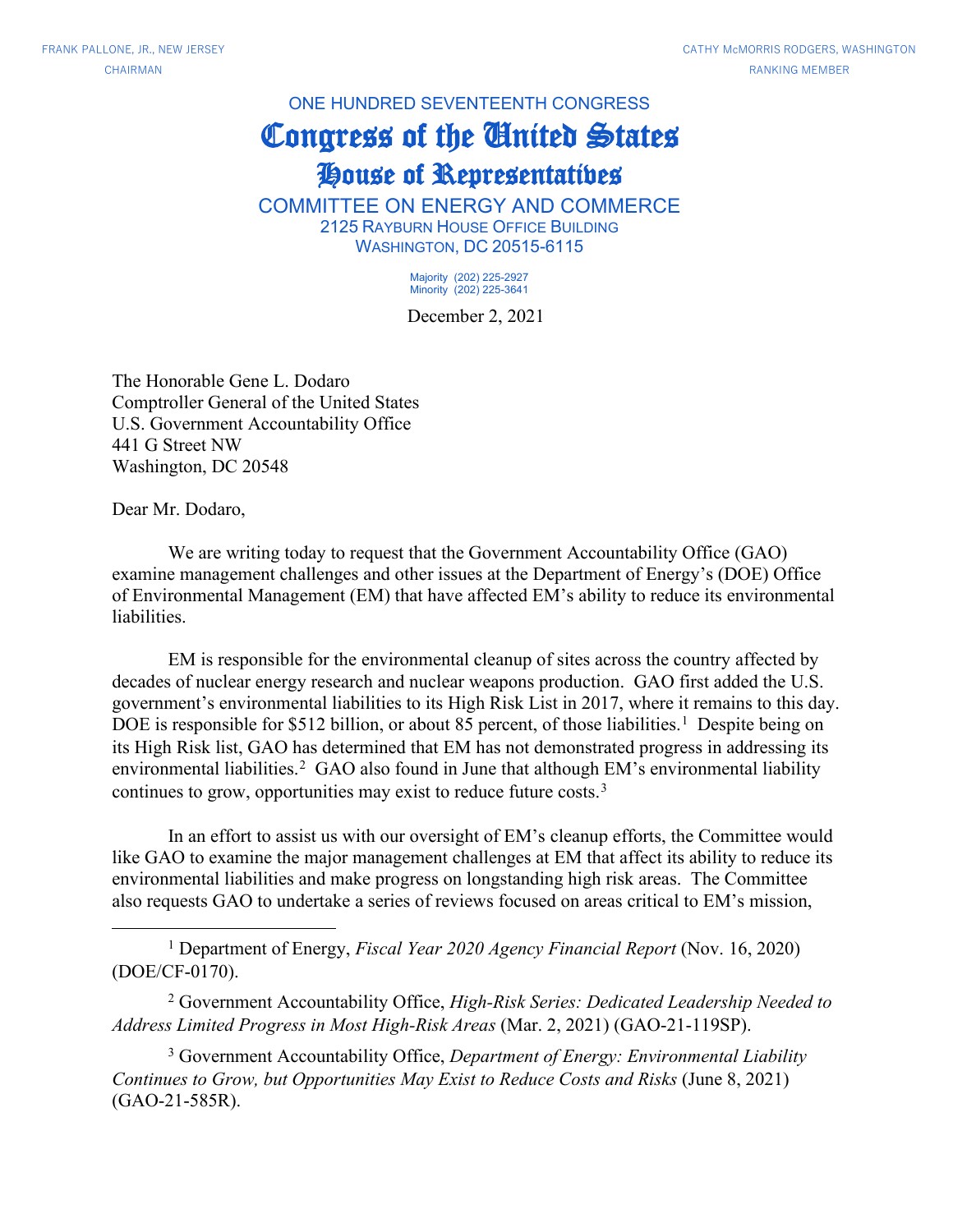ONE HUNDRED SEVENTEENTH CONGRESS

## Congress of the United States

## House of Representatives

COMMITTEE ON ENERGY AND COMMERCE 2125 RAYBURN HOUSE OFFICE BUILDING WASHINGTON, DC 20515-6115

> Majority (202) 225-2927 Minority (202) 225-3641

December 2, 2021

The Honorable Gene L. Dodaro Comptroller General of the United States U.S. Government Accountability Office 441 G Street NW Washington, DC 20548

Dear Mr. Dodaro,

We are writing today to request that the Government Accountability Office (GAO) examine management challenges and other issues at the Department of Energy's (DOE) Office of Environmental Management (EM) that have affected EM's ability to reduce its environmental liabilities.

EM is responsible for the environmental cleanup of sites across the country affected by decades of nuclear energy research and nuclear weapons production. GAO first added the U.S. government's environmental liabilities to its High Risk List in 2017, where it remains to this day. DOE is responsible for \$5[1](#page-2-0)2 billion, or about 85 percent, of those liabilities.<sup>1</sup> Despite being on its High Risk list, GAO has determined that EM has not demonstrated progress in addressing its environmental liabilities.<sup>[2](#page-2-1)</sup> GAO also found in June that although EM's environmental liability continues to grow, opportunities may exist to reduce future costs.[3](#page-2-2)

In an effort to assist us with our oversight of EM's cleanup efforts, the Committee would like GAO to examine the major management challenges at EM that affect its ability to reduce its environmental liabilities and make progress on longstanding high risk areas. The Committee also requests GAO to undertake a series of reviews focused on areas critical to EM's mission,

<span id="page-2-0"></span><sup>1</sup> Department of Energy, *Fiscal Year 2020 Agency Financial Report* (Nov. 16, 2020) [\(DOE/CF-0170\)](https://www.energy.gov/cfo/downloads/fy-2020-doe-agency-financial-report).

<span id="page-2-1"></span><sup>2</sup> Government Accountability Office, *High-Risk Series: Dedicated Leadership Needed to Address Limited Progress in Most High-Risk Areas* (Mar. 2, 2021) [\(GAO-21-119SP\)](https://www.gao.gov/products/gao-21-119sp).

<span id="page-2-2"></span><sup>3</sup> Government Accountability Office, *Department of Energy: Environmental Liability Continues to Grow, but Opportunities May Exist to Reduce Costs and Risks* (June 8, 2021) [\(GAO-21-585R\)](https://www.gao.gov/products/gao-21-585r).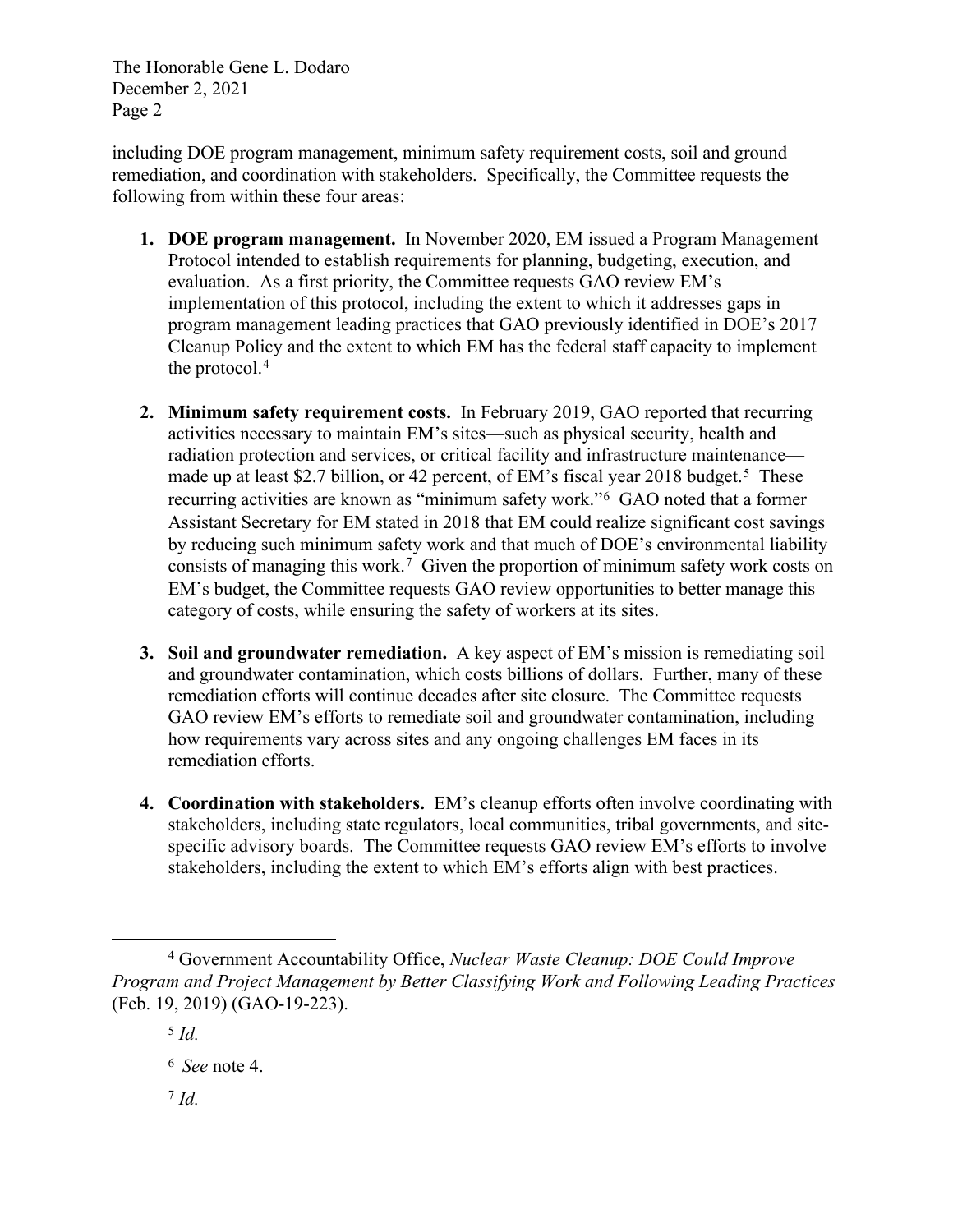The Honorable Gene L. Dodaro December 2, 2021 Page 2

including DOE program management, minimum safety requirement costs, soil and ground remediation, and coordination with stakeholders. Specifically, the Committee requests the following from within these four areas:

- **1. DOE program management.** In November 2020, EM issued a Program Management Protocol intended to establish requirements for planning, budgeting, execution, and evaluation. As a first priority, the Committee requests GAO review EM's implementation of this protocol, including the extent to which it addresses gaps in program management leading practices that GAO previously identified in DOE's 2017 Cleanup Policy and the extent to which EM has the federal staff capacity to implement the protocol.[4](#page-3-0)
- **2. Minimum safety requirement costs.** In February 2019, GAO reported that recurring activities necessary to maintain EM's sites—such as physical security, health and radiation protection and services, or critical facility and infrastructure maintenance— made up at least \$2.7 billion, or 42 percent, of EM's fiscal year 2018 budget.<sup>[5](#page-3-1)</sup> These recurring activities are known as "minimum safety work."[6](#page-3-2) GAO noted that a former Assistant Secretary for EM stated in 2018 that EM could realize significant cost savings by reducing such minimum safety work and that much of DOE's environmental liability consists of managing this work.[7](#page-3-3) Given the proportion of minimum safety work costs on EM's budget, the Committee requests GAO review opportunities to better manage this category of costs, while ensuring the safety of workers at its sites.
- **3. Soil and groundwater remediation.** A key aspect of EM's mission is remediating soil and groundwater contamination, which costs billions of dollars. Further, many of these remediation efforts will continue decades after site closure. The Committee requests GAO review EM's efforts to remediate soil and groundwater contamination, including how requirements vary across sites and any ongoing challenges EM faces in its remediation efforts.
- **4. Coordination with stakeholders.** EM's cleanup efforts often involve coordinating with stakeholders, including state regulators, local communities, tribal governments, and sitespecific advisory boards. The Committee requests GAO review EM's efforts to involve stakeholders, including the extent to which EM's efforts align with best practices.

<span id="page-3-2"></span><span id="page-3-1"></span><span id="page-3-0"></span><sup>4</sup> Government Accountability Office, *Nuclear Waste Cleanup: DOE Could Improve Program and Project Management by Better Classifying Work and Following Leading Practices* (Feb. 19, 2019) (GAO-19-223).

<sup>5</sup> *Id.*

<span id="page-3-3"></span><sup>6</sup> *See* note 4.